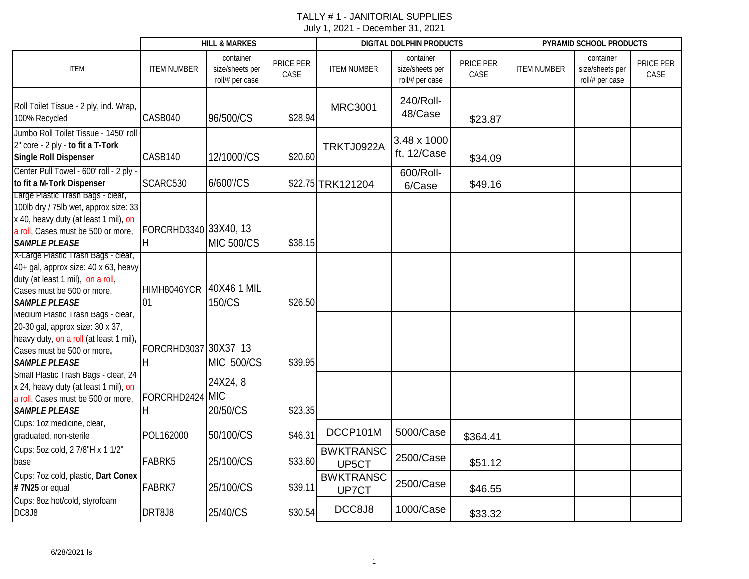|                                                                                                                                                                                   |                             | <b>HILL &amp; MARKES</b>                        |                   |                           | DIGITAL DOLPHIN PRODUCTS                        |                   | PYRAMID SCHOOL PRODUCTS |                                                 |                   |  |
|-----------------------------------------------------------------------------------------------------------------------------------------------------------------------------------|-----------------------------|-------------------------------------------------|-------------------|---------------------------|-------------------------------------------------|-------------------|-------------------------|-------------------------------------------------|-------------------|--|
| <b>ITEM</b>                                                                                                                                                                       | <b>ITEM NUMBER</b>          | container<br>size/sheets per<br>roll/# per case | PRICE PER<br>CASE | <b>ITEM NUMBER</b>        | container<br>size/sheets per<br>roll/# per case | PRICE PER<br>CASE | <b>ITEM NUMBER</b>      | container<br>size/sheets per<br>roll/# per case | PRICE PER<br>CASE |  |
| Roll Toilet Tissue - 2 ply, ind. Wrap,<br>100% Recycled                                                                                                                           | CASB040                     | 96/500/CS                                       | \$28.94           | <b>MRC3001</b>            | 240/Roll-<br>48/Case                            | \$23.87           |                         |                                                 |                   |  |
| Jumbo Roll Toilet Tissue - 1450' roll<br>2" core - 2 ply - to fit a T-Tork<br><b>Single Roll Dispenser</b>                                                                        | CASB140                     | 12/1000'/CS                                     | \$20.60           | TRKTJ0922A                | 3.48 x 1000<br>ft, 12/Case                      | \$34.09           |                         |                                                 |                   |  |
| Center Pull Towel - 600' roll - 2 ply -<br>to fit a M-Tork Dispenser                                                                                                              | SCARC530                    | 6/600'/CS                                       |                   | \$22.75 TRK121204         | 600/Roll-<br>6/Case                             | \$49.16           |                         |                                                 |                   |  |
| Large Plastic Trash Bags - clear,<br>100lb dry / 75lb wet, approx size: 33<br>x 40, heavy duty (at least 1 mil), on<br>a roll, Cases must be 500 or more,<br><b>SAMPLE PLEASE</b> | FORCRHD3340 33X40, 13<br>H. | <b>MIC 500/CS</b>                               | \$38.15           |                           |                                                 |                   |                         |                                                 |                   |  |
| X-Large Plastic Trash Bags - clear,<br>40+ gal, approx size: 40 x 63, heavy<br>duty (at least 1 mil), on a roll,<br>Cases must be 500 or more,<br><b>SAMPLE PLEASE</b>            | HIMH8046YCR<br>01           | 40X46 1 MIL<br>150/CS                           | \$26.50           |                           |                                                 |                   |                         |                                                 |                   |  |
| Medium Plastic Trash Bags - clear,<br>20-30 gal, approx size: 30 x 37,<br>heavy duty, on a roll (at least 1 mil),<br>Cases must be 500 or more,<br><b>SAMPLE PLEASE</b>           | FORCRHD3037 30X37 13<br>H.  | <b>MIC 500/CS</b>                               | \$39.95           |                           |                                                 |                   |                         |                                                 |                   |  |
| Small Plastic Trash Bags - clear, 24<br>x 24, heavy duty (at least 1 mil), on<br>a roll, Cases must be 500 or more,<br><b>SAMPLE PLEASE</b>                                       | FORCRHD2424 MIC<br>H        | 24X24, 8<br>20/50/CS                            | \$23.35           |                           |                                                 |                   |                         |                                                 |                   |  |
| Cups: 1oz medicine, clear,<br>graduated, non-sterile                                                                                                                              | POL162000                   | 50/100/CS                                       | \$46.31           | DCCP101M                  | 5000/Case                                       | \$364.41          |                         |                                                 |                   |  |
| Cups: 5oz cold, 2 7/8"H x 1 1/2"<br>base                                                                                                                                          | FABRK5                      | 25/100/CS                                       | \$33.60           | <b>BWKTRANSC</b><br>UP5CT | 2500/Case                                       | \$51.12           |                         |                                                 |                   |  |
| Cups: 7oz cold, plastic, Dart Conex<br>#7N25 or equal                                                                                                                             | FABRK7                      | 25/100/CS                                       | \$39.11           | <b>BWKTRANSC</b><br>UP7CT | 2500/Case                                       | \$46.55           |                         |                                                 |                   |  |
| Cups: 8oz hot/cold, styrofoam<br>DC8J8                                                                                                                                            | DRT8J8                      | 25/40/CS                                        | \$30.54           | DCC8J8                    | 1000/Case                                       | \$33.32           |                         |                                                 |                   |  |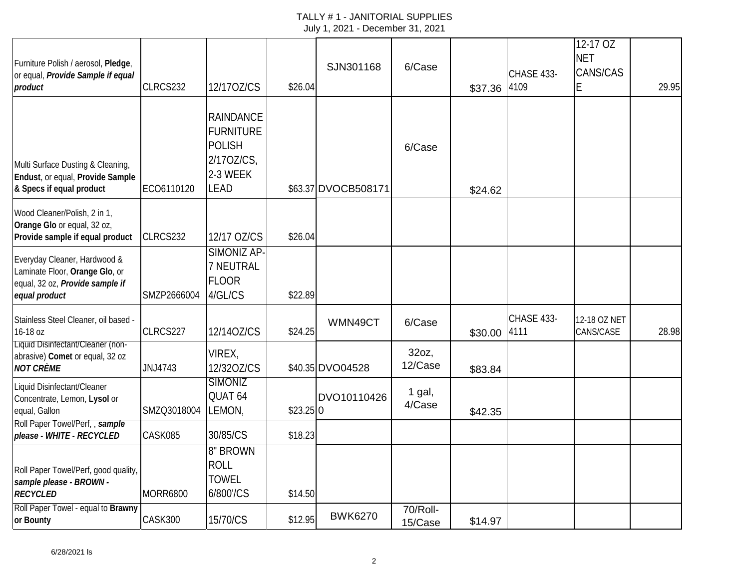| Furniture Polish / aerosol, Pledge,<br>or equal, Provide Sample if equal<br>product                                | CLRCS232        | 12/170Z/CS                                                                                     | \$26.04    | SJN301168           | 6/Case              | \$37.36 | CHASE 433-<br>4109 | 12-17 OZ<br><b>NET</b><br>CANS/CAS<br>E | 29.95 |
|--------------------------------------------------------------------------------------------------------------------|-----------------|------------------------------------------------------------------------------------------------|------------|---------------------|---------------------|---------|--------------------|-----------------------------------------|-------|
| Multi Surface Dusting & Cleaning,<br>Endust, or equal, Provide Sample<br>& Specs if equal product                  | ECO6110120      | <b>RAINDANCE</b><br><b>FURNITURE</b><br><b>POLISH</b><br>2/170Z/CS,<br>2-3 WEEK<br><b>LEAD</b> |            | \$63.37 DVOCB508171 | 6/Case              | \$24.62 |                    |                                         |       |
| Wood Cleaner/Polish, 2 in 1,<br>Orange Glo or equal, 32 oz,<br>Provide sample if equal product                     | CLRCS232        | 12/17 OZ/CS                                                                                    | \$26.04    |                     |                     |         |                    |                                         |       |
| Everyday Cleaner, Hardwood &<br>Laminate Floor, Orange Glo, or<br>equal, 32 oz, Provide sample if<br>equal product | SMZP2666004     | SIMONIZ AP-<br>7 NEUTRAL<br><b>FLOOR</b><br>4/GL/CS                                            | \$22.89    |                     |                     |         |                    |                                         |       |
| Stainless Steel Cleaner, oil based -<br>16-18 oz                                                                   | CLRCS227        | 12/14OZ/CS                                                                                     | \$24.25    | WMN49CT             | 6/Case              | \$30.00 | CHASE 433-<br>4111 | 12-18 OZ NET<br>CANS/CASE               | 28.98 |
| Liquid Disinfectant/Cleaner (non-<br>abrasive) Comet or equal, 32 oz<br><b>NOT CRÈME</b>                           | JNJ4743         | VIREX,<br>12/320Z/CS                                                                           |            | \$40.35 DVO04528    | 32oz,<br>12/Case    | \$83.84 |                    |                                         |       |
| Liquid Disinfectant/Cleaner<br>Concentrate, Lemon, Lysol or<br>equal, Gallon<br>Roll Paper Towel/Perf,, sample     | SMZQ3018004     | <b>SIMONIZ</b><br>QUAT 64<br>LEMON,                                                            | $$23.25$ 0 | DVO10110426         | 1 gal,<br>4/Case    | \$42.35 |                    |                                         |       |
| please - WHITE - RECYCLED                                                                                          | CASK085         | 30/85/CS                                                                                       | \$18.23    |                     |                     |         |                    |                                         |       |
| Roll Paper Towel/Perf, good quality,<br>sample please - BROWN -<br><b>RECYCLED</b>                                 | <b>MORR6800</b> | 8" BROWN<br><b>ROLL</b><br><b>TOWEL</b><br>6/800'/CS                                           | \$14.50    |                     |                     |         |                    |                                         |       |
| Roll Paper Towel - equal to Brawny<br>or Bounty                                                                    | CASK300         | 15/70/CS                                                                                       | \$12.95    | <b>BWK6270</b>      | 70/Roll-<br>15/Case | \$14.97 |                    |                                         |       |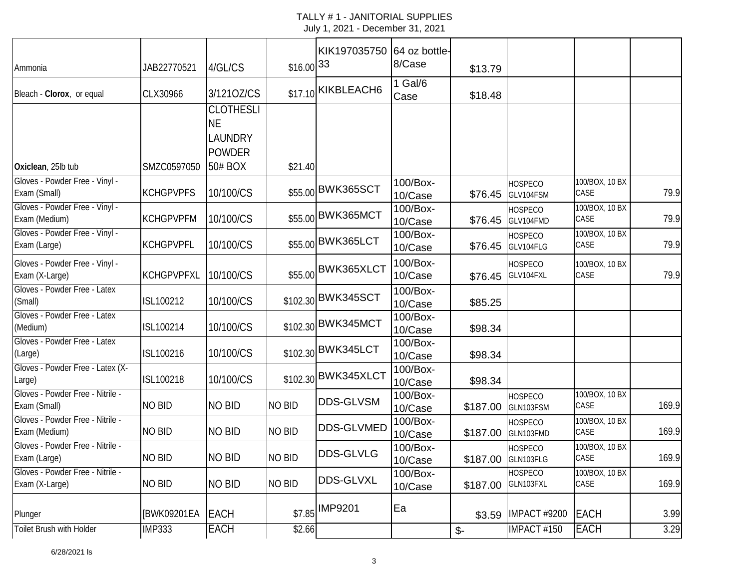| JAB22770521       | 4/GL/CS                                                   |               |                   | 8/Case                                                                                                                                                                                                                                                            |                                        |         |                                                                                                                                                                                                                                                                                                              |                               |
|-------------------|-----------------------------------------------------------|---------------|-------------------|-------------------------------------------------------------------------------------------------------------------------------------------------------------------------------------------------------------------------------------------------------------------|----------------------------------------|---------|--------------------------------------------------------------------------------------------------------------------------------------------------------------------------------------------------------------------------------------------------------------------------------------------------------------|-------------------------------|
| CLX30966          | 3/1210Z/CS                                                |               |                   | $1$ Gal/6<br>Case                                                                                                                                                                                                                                                 | \$18.48                                |         |                                                                                                                                                                                                                                                                                                              |                               |
|                   | <b>CLOTHESLI</b><br><b>NE</b><br>LAUNDRY<br><b>POWDER</b> |               |                   |                                                                                                                                                                                                                                                                   |                                        |         |                                                                                                                                                                                                                                                                                                              |                               |
|                   |                                                           |               |                   |                                                                                                                                                                                                                                                                   |                                        |         |                                                                                                                                                                                                                                                                                                              |                               |
| <b>KCHGPVPFS</b>  | 10/100/CS                                                 |               |                   | 10/Case                                                                                                                                                                                                                                                           | \$76.45                                |         | CASE                                                                                                                                                                                                                                                                                                         | 79.9                          |
| <b>KCHGPVPFM</b>  | 10/100/CS                                                 |               |                   | 100/Box-<br>10/Case                                                                                                                                                                                                                                               |                                        |         | 100/BOX, 10 BX<br>CASE                                                                                                                                                                                                                                                                                       | 79.9                          |
| <b>KCHGPVPFL</b>  | 10/100/CS                                                 |               |                   | 100/Box-<br>10/Case                                                                                                                                                                                                                                               |                                        |         | 100/BOX, 10 BX<br>CASE                                                                                                                                                                                                                                                                                       | 79.9                          |
| <b>KCHGPVPFXL</b> | 10/100/CS                                                 |               |                   | 100/Box-<br>10/Case                                                                                                                                                                                                                                               | \$76.45                                |         | 100/BOX, 10 BX<br>CASE                                                                                                                                                                                                                                                                                       | 79.9                          |
| ISL100212         | 10/100/CS                                                 |               |                   | $100/Box-$<br>10/Case                                                                                                                                                                                                                                             | \$85.25                                |         |                                                                                                                                                                                                                                                                                                              |                               |
| ISL100214         | 10/100/CS                                                 |               |                   | 100/Box-<br>10/Case                                                                                                                                                                                                                                               | \$98.34                                |         |                                                                                                                                                                                                                                                                                                              |                               |
| ISL100216         | 10/100/CS                                                 |               |                   | 100/Box-<br>10/Case                                                                                                                                                                                                                                               | \$98.34                                |         |                                                                                                                                                                                                                                                                                                              |                               |
| ISL100218         | 10/100/CS                                                 |               |                   | 100/Box-<br>10/Case                                                                                                                                                                                                                                               | \$98.34                                |         |                                                                                                                                                                                                                                                                                                              |                               |
| <b>NO BID</b>     | <b>NO BID</b>                                             | NO BID        | <b>DDS-GLVSM</b>  | 100/Box-<br>10/Case                                                                                                                                                                                                                                               | \$187.00                               |         | 100/BOX, 10 BX<br>CASE                                                                                                                                                                                                                                                                                       | 169.9                         |
| <b>NO BID</b>     | <b>NO BID</b>                                             | NO BID        | <b>DDS-GLVMED</b> | 100/Box-<br>10/Case                                                                                                                                                                                                                                               | \$187.00                               |         | 100/BOX, 10 BX<br>CASE                                                                                                                                                                                                                                                                                       | 169.9                         |
| NO BID            | NO BID                                                    | NO BID        | <b>DDS-GLVLG</b>  | 100/Box-<br>10/Case                                                                                                                                                                                                                                               |                                        |         | 100/BOX, 10 BX<br>CASE                                                                                                                                                                                                                                                                                       | 169.9                         |
| <b>NO BID</b>     | <b>NO BID</b>                                             | <b>NO BID</b> | <b>DDS-GLVXL</b>  | 100/Box-<br>10/Case                                                                                                                                                                                                                                               | \$187.00                               |         | 100/BOX, 10 BX<br>CASE                                                                                                                                                                                                                                                                                       | 169.9                         |
| [BWK09201EA       | <b>EACH</b>                                               |               |                   | Ea                                                                                                                                                                                                                                                                | \$3.59                                 |         |                                                                                                                                                                                                                                                                                                              | 3.99                          |
| <b>IMP333</b>     | <b>EACH</b>                                               |               |                   |                                                                                                                                                                                                                                                                   | $\mathcal{S}$ -                        |         | <b>EACH</b>                                                                                                                                                                                                                                                                                                  | 3.29                          |
|                   | SMZC0597050                                               | 50# BOX       |                   | $$16.00$ <sup>33</sup><br>\$17.10 KIKBLEACH6<br>\$21.40<br>\$55.00 BWK365SCT<br>\$55.00 BWK365MCT<br>\$55.00 BWK365LCT<br>\$55.00 BWK365XLCT<br>\$102.30 BWK345SCT<br>\$102.30 BWK345MCT<br>\$102.30 BWK345LCT<br>\$102.30 BWK345XLCT<br>\$7.85 IMP9201<br>\$2.66 | KIK197035750 64 oz bottle-<br>100/Box- | \$13.79 | <b>HOSPECO</b><br>GLV104FSM<br><b>HOSPECO</b><br>\$76.45 GLV104FMD<br><b>HOSPECO</b><br>\$76.45 GLV104FLG<br><b>HOSPECO</b><br>GLV104FXL<br><b>HOSPECO</b><br>GLN103FSM<br>HOSPECO<br>GLN103FMD<br><b>HOSPECO</b><br>\$187.00 GLN103FLG<br><b>HOSPECO</b><br>GLN103FXL<br><b>IMPACT #9200</b><br>IMPACT #150 | 100/BOX, 10 BX<br><b>EACH</b> |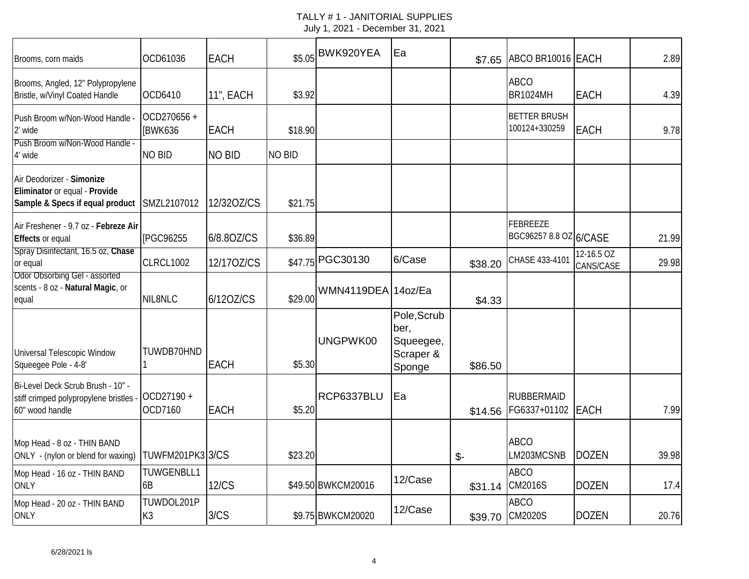| Brooms, corn maids                                                                             | OCD61036                | <b>EACH</b>   | \$5.05        | BWK920YEA          | Ea                                                      | \$7.65  | ABCO BR10016 EACH                    |                         | 2.89  |
|------------------------------------------------------------------------------------------------|-------------------------|---------------|---------------|--------------------|---------------------------------------------------------|---------|--------------------------------------|-------------------------|-------|
| Brooms, Angled, 12" Polypropylene<br>Bristle, w/Vinyl Coated Handle                            | OCD6410                 | 11", EACH     | \$3.92        |                    |                                                         |         | <b>ABCO</b><br><b>BR1024MH</b>       | <b>EACH</b>             | 4.39  |
| Push Broom w/Non-Wood Handle<br>2' wide                                                        | OCD270656 +<br>[BWK636  | EACH          | \$18.90       |                    |                                                         |         | <b>BETTER BRUSH</b><br>100124+330259 | <b>EACH</b>             | 9.78  |
| Push Broom w/Non-Wood Handle -<br>4' wide                                                      | <b>NO BID</b>           | <b>NO BID</b> | <b>NO BID</b> |                    |                                                         |         |                                      |                         |       |
| Air Deodorizer - Simonize<br>Eliminator or equal - Provide<br>Sample & Specs if equal product  | SMZL2107012             | 12/320Z/CS    | \$21.75       |                    |                                                         |         |                                      |                         |       |
| Air Freshener - 9.7 oz - Febreze Air<br>Effects or equal                                       | [PGC96255               | 6/8.80Z/CS    | \$36.89       |                    |                                                         |         | FEBREEZE<br>BGC96257 8.8 OZ 6/CASE   |                         | 21.99 |
| Spray Disinfectant, 16.5 oz, Chase<br>or equal                                                 | CLRCL1002               | 12/170Z/CS    | \$47.75       | PGC30130           | 6/Case                                                  | \$38.20 | CHASE 433-4101                       | 12-16.5 OZ<br>CANS/CASE | 29.98 |
| Odor Obsorbing Gel - assorted<br>scents - 8 oz - Natural Magic, or<br>equal                    | NIL8NLC                 | 6/120Z/CS     | \$29.00       | WMN4119DEA 14oz/Ea |                                                         | \$4.33  |                                      |                         |       |
| Universal Telescopic Window<br>Squeegee Pole - 4-8'                                            | TUWDB70HND              | <b>EACH</b>   | \$5.30        | UNGPWK00           | Pole, Scrub<br>ber,<br>Squeegee,<br>Scraper &<br>Sponge | \$86.50 |                                      |                         |       |
| Bi-Level Deck Scrub Brush - 10" -<br>stiff crimped polypropylene bristles -<br>60" wood handle | OCD27190+<br>OCD7160    | <b>EACH</b>   | \$5.20        | RCP6337BLU         | Ea                                                      | \$14.56 | <b>RUBBERMAID</b><br>FG6337+01102    | <b>EACH</b>             | 7.99  |
| Mop Head - 8 oz - THIN BAND<br>ONLY - (nylon or blend for waxing)                              | <b>TUWFM201PK3 3/CS</b> |               | \$23.20       |                    |                                                         | $$-$    | <b>ABCO</b><br>LM203MCSNB            | <b>DOZEN</b>            | 39.98 |
| Mop Head - 16 oz - THIN BAND<br><b>ONLY</b>                                                    | TUWGENBLL1<br>6B        | <b>12/CS</b>  |               | \$49.50 BWKCM20016 | 12/Case                                                 | \$31.14 | <b>ABCO</b><br><b>CM2016S</b>        | <b>DOZEN</b>            | 17.4  |
| Mop Head - 20 oz - THIN BAND<br><b>ONLY</b>                                                    | TUWDOL201P<br>K3        | 3/CS          |               | \$9.75 BWKCM20020  | 12/Case                                                 | \$39.70 | <b>ABCO</b><br><b>CM2020S</b>        | <b>DOZEN</b>            | 20.76 |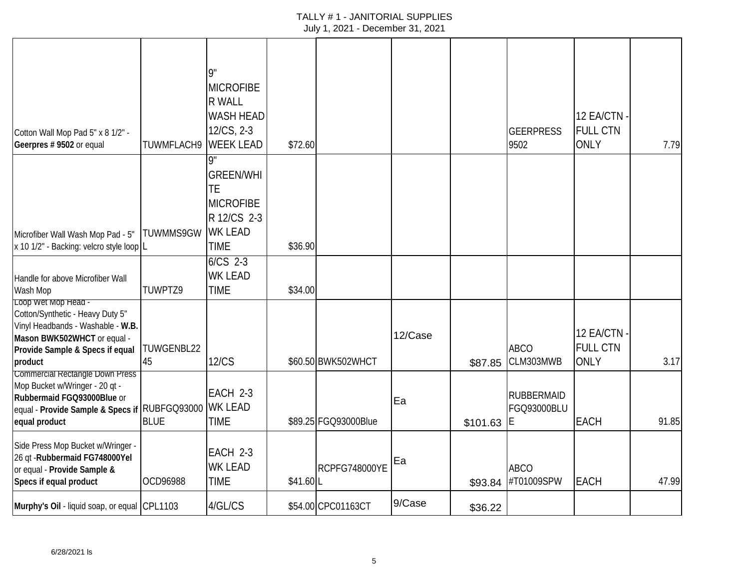| Cotton Wall Mop Pad 5" x 8 1/2" -<br>Geerpres # 9502 or equal                                                                                                             | TUWMFLACH9                        | 9"<br><b>MICROFIBE</b><br><b>R WALL</b><br><b>WASH HEAD</b><br>12/CS, 2-3<br><b>WEEK LEAD</b>    | \$72.60  |                      |         |          | <b>GEERPRESS</b><br>9502               | 12 EA/CTN -<br><b>FULL CTN</b><br><b>ONLY</b> | 7.79  |
|---------------------------------------------------------------------------------------------------------------------------------------------------------------------------|-----------------------------------|--------------------------------------------------------------------------------------------------|----------|----------------------|---------|----------|----------------------------------------|-----------------------------------------------|-------|
| Microfiber Wall Wash Mop Pad - 5"<br>x 10 1/2" - Backing: velcro style loop L                                                                                             | TUWMMS9GW                         | g"<br><b>GREEN/WHI</b><br>TE<br><b>MICROFIBE</b><br>R 12/CS 2-3<br><b>WK LEAD</b><br><b>TIME</b> | \$36.90  |                      |         |          |                                        |                                               |       |
| Handle for above Microfiber Wall<br>Wash Mop                                                                                                                              | TUWPTZ9                           | $6/CS$ 2-3<br><b>WK LEAD</b><br><b>TIME</b>                                                      | \$34.00  |                      |         |          |                                        |                                               |       |
| Loop Wet Mop Head -<br>Cotton/Synthetic - Heavy Duty 5"<br>Vinyl Headbands - Washable - W.B.<br>Mason BWK502WHCT or equal -<br>Provide Sample & Specs if equal<br>product | TUWGENBL22<br>45                  | <b>12/CS</b>                                                                                     |          | \$60.50 BWK502WHCT   | 12/Case | \$87.85  | <b>ABCO</b><br>CLM303MWB               | 12 EA/CTN -<br><b>FULL CTN</b><br><b>ONLY</b> | 3.17  |
| <b>Commercial Rectangle Down Press</b><br>Mop Bucket w/Wringer - 20 qt -<br>Rubbermaid FGQ93000Blue or<br>equal - Provide Sample & Specs if<br>equal product              | <b>RUBFGQ93000</b><br><b>BLUE</b> | EACH 2-3<br><b>WK LEAD</b><br><b>TIME</b>                                                        |          | \$89.25 FGQ93000Blue | Ea      | \$101.63 | <b>RUBBERMAID</b><br>FGQ93000BLU<br>IE | EACH                                          | 91.85 |
| Side Press Mop Bucket w/Wringer -<br>26 qt - Rubbermaid FG748000Yel<br>or equal - Provide Sample &<br>Specs if equal product                                              | OCD96988                          | EACH 2-3<br><b>WK LEAD</b><br><b>TIME</b>                                                        | \$41.60L | <b>RCPFG748000YE</b> | Ea      | \$93.84  | <b>ABCO</b><br>#T01009SPW              | <b>EACH</b>                                   | 47.99 |
| Murphy's Oil - liquid soap, or equal CPL1103                                                                                                                              |                                   | 4/GL/CS                                                                                          |          | \$54.00 CPC01163CT   | 9/Case  | \$36.22  |                                        |                                               |       |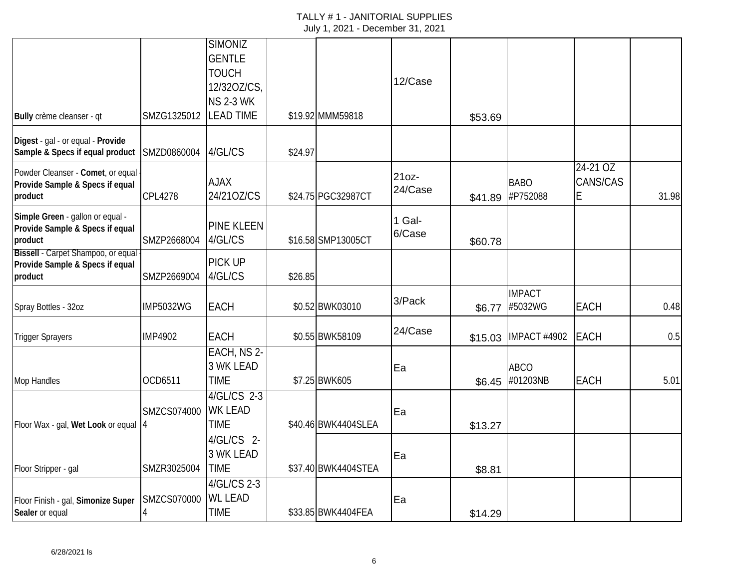|                                                                      |                  | <b>SIMONIZ</b>    |         |                     |                  |         |                 |             |       |
|----------------------------------------------------------------------|------------------|-------------------|---------|---------------------|------------------|---------|-----------------|-------------|-------|
|                                                                      |                  | <b>GENTLE</b>     |         |                     |                  |         |                 |             |       |
|                                                                      |                  | <b>TOUCH</b>      |         |                     | 12/Case          |         |                 |             |       |
|                                                                      |                  | 12/320Z/CS,       |         |                     |                  |         |                 |             |       |
|                                                                      |                  | <b>NS 2-3 WK</b>  |         |                     |                  |         |                 |             |       |
| Bully crème cleanser - qt                                            | SMZG1325012      | <b>LEAD TIME</b>  |         | \$19.92 MMM59818    |                  | \$53.69 |                 |             |       |
| Digest - gal - or equal - Provide<br>Sample & Specs if equal product | SMZD0860004      | 4/GL/CS           | \$24.97 |                     |                  |         |                 |             |       |
| Powder Cleanser - Comet, or equal                                    |                  |                   |         |                     |                  |         |                 | $24-21$ OZ  |       |
| Provide Sample & Specs if equal                                      |                  | <b>AJAX</b>       |         |                     | 21oz-<br>24/Case |         | <b>BABO</b>     | CANS/CAS    |       |
| product                                                              | <b>CPL4278</b>   | 24/210Z/CS        |         | \$24.75 PGC32987CT  |                  | \$41.89 | #P752088        | Е           | 31.98 |
| Simple Green - gallon or equal -                                     |                  |                   |         |                     | 1 Gal-           |         |                 |             |       |
| Provide Sample & Specs if equal                                      |                  | <b>PINE KLEEN</b> |         |                     | 6/Case           |         |                 |             |       |
| product<br>Bissell - Carpet Shampoo, or equal                        | SMZP2668004      | 4/GL/CS           |         | \$16.58 SMP13005CT  |                  | \$60.78 |                 |             |       |
| Provide Sample & Specs if equal                                      |                  | PICK UP           |         |                     |                  |         |                 |             |       |
| product                                                              | SMZP2669004      | 4/GL/CS           | \$26.85 |                     |                  |         |                 |             |       |
|                                                                      |                  |                   |         |                     |                  |         | <b>IMPACT</b>   |             |       |
| Spray Bottles - 32oz                                                 | <b>IMP5032WG</b> | EACH              |         | \$0.52 BWK03010     | 3/Pack           | \$6.77  | #5032WG         | EACH        | 0.48  |
|                                                                      |                  |                   |         |                     | 24/Case          |         |                 |             |       |
| <b>Trigger Sprayers</b>                                              | <b>IMP4902</b>   | <b>EACH</b>       |         | \$0.55 BWK58109     |                  | \$15.03 | IMPACT #4902    | <b>EACH</b> | 0.5   |
|                                                                      |                  | EACH, NS 2-       |         |                     |                  |         |                 |             |       |
|                                                                      |                  | <b>3 WK LEAD</b>  |         |                     | Ea               |         | <b>ABCO</b>     |             |       |
| Mop Handles                                                          | OCD6511          | <b>TIME</b>       |         | \$7.25 BWK605       |                  |         | \$6.45 #01203NB | EACH        | 5.01  |
|                                                                      |                  | 4/GL/CS 2-3       |         |                     |                  |         |                 |             |       |
|                                                                      | SMZCS074000      | <b>WK LEAD</b>    |         |                     | Ea               |         |                 |             |       |
| Floor Wax - gal, Wet Look or equal  4                                |                  | <b>TIME</b>       |         | \$40.46 BWK4404SLEA |                  | \$13.27 |                 |             |       |
|                                                                      |                  | 4/GL/CS 2-        |         |                     |                  |         |                 |             |       |
|                                                                      |                  | <b>3 WK LEAD</b>  |         |                     | Ea               |         |                 |             |       |
| Floor Stripper - gal                                                 | SMZR3025004      | <b>TIME</b>       |         | \$37.40 BWK4404STEA |                  | \$8.81  |                 |             |       |
|                                                                      |                  | 4/GL/CS 2-3       |         |                     |                  |         |                 |             |       |
| Floor Finish - gal, Simonize Super                                   | SMZCS070000      | <b>WL LEAD</b>    |         |                     | Ea               |         |                 |             |       |
| Sealer or equal                                                      |                  | <b>TIME</b>       |         | \$33.85 BWK4404FEA  |                  | \$14.29 |                 |             |       |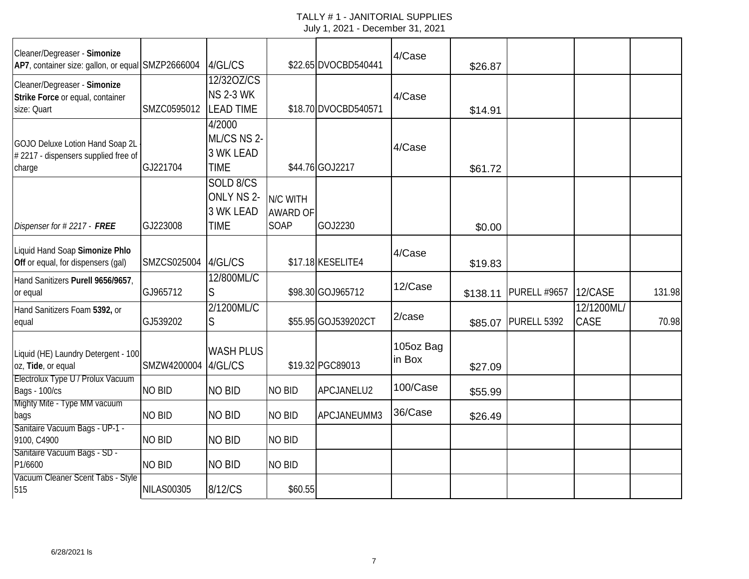| Cleaner/Degreaser - Simonize<br>AP7, container size: gallon, or equal SMZP2666004 |                   | 4/GL/CS                                                    |                                            | \$22.65 DVOCBD540441 | 4/Case              | \$26.87  |                     |                    |        |
|-----------------------------------------------------------------------------------|-------------------|------------------------------------------------------------|--------------------------------------------|----------------------|---------------------|----------|---------------------|--------------------|--------|
| Cleaner/Degreaser - Simonize<br>Strike Force or equal, container<br>size: Quart   | SMZC0595012       | 12/320Z/CS<br><b>NS 2-3 WK</b><br><b>LEAD TIME</b>         |                                            | \$18.70 DVOCBD540571 | 4/Case              | \$14.91  |                     |                    |        |
| GOJO Deluxe Lotion Hand Soap 2L<br>#2217 - dispensers supplied free of<br>charge  | GJ221704          | 4/2000<br>ML/CS NS 2-<br>3 WK LEAD<br><b>TIME</b>          |                                            | \$44.76 GOJ2217      | 4/Case              | \$61.72  |                     |                    |        |
| Dispenser for #2217 - FREE                                                        | GJ223008          | SOLD 8/CS<br>ONLY NS 2-<br><b>3 WK LEAD</b><br><b>TIME</b> | N/C WITH<br><b>AWARD OF</b><br><b>SOAP</b> | GOJ2230              |                     | \$0.00   |                     |                    |        |
| Liquid Hand Soap Simonize Phlo<br>Off or equal, for dispensers (gal)              | SMZCS025004       | 4/GL/CS                                                    |                                            | \$17.18 KESELITE4    | 4/Case              | \$19.83  |                     |                    |        |
| Hand Sanitizers Purell 9656/9657,<br>or equal                                     | GJ965712          | 12/800ML/C<br>S                                            |                                            | \$98.30 GOJ965712    | 12/Case             | \$138.11 | <b>PURELL #9657</b> | 12/CASE            | 131.98 |
| Hand Sanitizers Foam 5392, or<br>equal                                            | GJ539202          | 2/1200ML/C<br>S                                            |                                            | \$55.95 GOJ539202CT  | 2/case              | \$85.07  | PURELL 5392         | 12/1200ML/<br>CASE | 70.98  |
| Liquid (HE) Laundry Detergent - 100<br>oz, Tide, or equal                         | SMZW4200004       | <b>WASH PLUS</b><br>4/GL/CS                                |                                            | \$19.32 PGC89013     | 105oz Bag<br>in Box | \$27.09  |                     |                    |        |
| Electrolux Type U / Prolux Vacuum<br><b>Bags - 100/cs</b>                         | <b>NO BID</b>     | <b>NO BID</b>                                              | <b>NO BID</b>                              | APCJANELU2           | 100/Case            | \$55.99  |                     |                    |        |
| Mighty Mite - Type MM vacuum<br>bags                                              | <b>NO BID</b>     | <b>NO BID</b>                                              | <b>NO BID</b>                              | APCJANEUMM3          | 36/Case             | \$26.49  |                     |                    |        |
| Sanitaire Vacuum Bags - UP-1 -<br>9100, C4900                                     | <b>NO BID</b>     | <b>NO BID</b>                                              | <b>NO BID</b>                              |                      |                     |          |                     |                    |        |
| Sanitaire Vacuum Bags - SD -<br>P1/6600                                           | <b>NO BID</b>     | <b>NO BID</b>                                              | <b>NO BID</b>                              |                      |                     |          |                     |                    |        |
| Vacuum Cleaner Scent Tabs - Style<br>515                                          | <b>NILAS00305</b> | 8/12/CS                                                    | \$60.55                                    |                      |                     |          |                     |                    |        |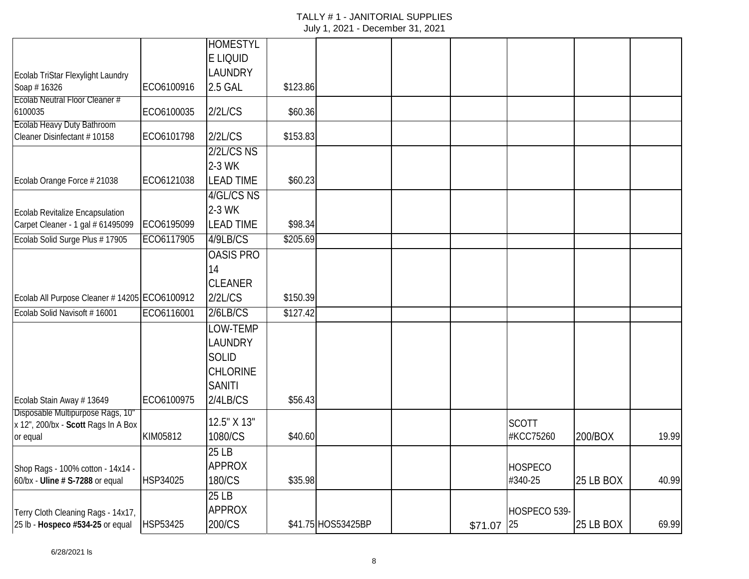|                                                  |            | <b>HOMESTYL</b>  |          |                    |             |                |           |       |
|--------------------------------------------------|------------|------------------|----------|--------------------|-------------|----------------|-----------|-------|
|                                                  |            | E LIQUID         |          |                    |             |                |           |       |
|                                                  |            | <b>LAUNDRY</b>   |          |                    |             |                |           |       |
| Ecolab TriStar Flexylight Laundry<br>Soap #16326 | ECO6100916 | 2.5 GAL          | \$123.86 |                    |             |                |           |       |
| Ecolab Neutral Floor Cleaner #                   |            |                  |          |                    |             |                |           |       |
| 6100035                                          | ECO6100035 | 2/2L/CS          | \$60.36  |                    |             |                |           |       |
| <b>Ecolab Heavy Duty Bathroom</b>                |            |                  |          |                    |             |                |           |       |
| Cleaner Disinfectant #10158                      | ECO6101798 | 2/2L/CS          | \$153.83 |                    |             |                |           |       |
|                                                  |            | $2/2$ L/CS NS    |          |                    |             |                |           |       |
|                                                  |            | 2-3 WK           |          |                    |             |                |           |       |
| Ecolab Orange Force # 21038                      | ECO6121038 | <b>LEAD TIME</b> | \$60.23  |                    |             |                |           |       |
|                                                  |            | 4/GL/CS NS       |          |                    |             |                |           |       |
| Ecolab Revitalize Encapsulation                  |            | 2-3 WK           |          |                    |             |                |           |       |
| Carpet Cleaner - 1 gal # 61495099                | ECO6195099 | <b>LEAD TIME</b> | \$98.34  |                    |             |                |           |       |
| Ecolab Solid Surge Plus # 17905                  | ECO6117905 | 4/9LB/CS         | \$205.69 |                    |             |                |           |       |
|                                                  |            | <b>OASIS PRO</b> |          |                    |             |                |           |       |
|                                                  |            | 14               |          |                    |             |                |           |       |
|                                                  |            | <b>CLEANER</b>   |          |                    |             |                |           |       |
| Ecolab All Purpose Cleaner # 14205 ECO6100912    |            | 2/2L/CS          | \$150.39 |                    |             |                |           |       |
| Ecolab Solid Navisoft #16001                     | ECO6116001 | 2/6LB/CS         | \$127.42 |                    |             |                |           |       |
|                                                  |            | LOW-TEMP         |          |                    |             |                |           |       |
|                                                  |            | LAUNDRY          |          |                    |             |                |           |       |
|                                                  |            | <b>SOLID</b>     |          |                    |             |                |           |       |
|                                                  |            | <b>CHLORINE</b>  |          |                    |             |                |           |       |
|                                                  |            | <b>SANITI</b>    |          |                    |             |                |           |       |
| Ecolab Stain Away #13649                         | ECO6100975 | 2/4LB/CS         | \$56.43  |                    |             |                |           |       |
| Disposable Multipurpose Rags, 10"                |            |                  |          |                    |             |                |           |       |
| x 12", 200/bx - Scott Rags In A Box              |            | 12.5" X 13"      |          |                    |             | <b>SCOTT</b>   |           |       |
| or equal                                         | KIM05812   | 1080/CS          | \$40.60  |                    |             | #KCC75260      | 200/BOX   | 19.99 |
|                                                  |            | 25 LB            |          |                    |             |                |           |       |
| Shop Rags - 100% cotton - 14x14 -                |            | <b>APPROX</b>    |          |                    |             | <b>HOSPECO</b> |           |       |
| 60/bx - Uline # S-7288 or equal                  | HSP34025   | 180/CS           | \$35.98  |                    |             | #340-25        | 25 LB BOX | 40.99 |
|                                                  |            | 25 LB            |          |                    |             |                |           |       |
| Terry Cloth Cleaning Rags - 14x17,               |            | <b>APPROX</b>    |          |                    |             | HOSPECO 539-   |           |       |
| 25 lb - Hospeco #534-25 or equal                 | HSP53425   | 200/CS           |          | \$41.75 HOS53425BP | $$71.07$ 25 |                | 25 LB BOX | 69.99 |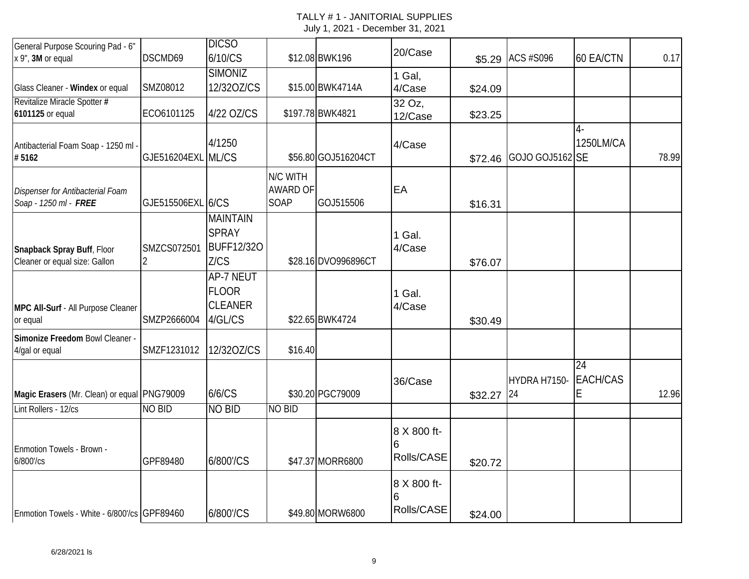| General Purpose Scouring Pad - 6"<br>x 9", 3M or equal              | DSCMD69                       | <b>DICSO</b><br>6/10/CS                                       |                                            | \$12.08 BWK196      | 20/Case                        |            | \$5.29 ACS #S096 | 60 EA/CTN                  | 0.17  |
|---------------------------------------------------------------------|-------------------------------|---------------------------------------------------------------|--------------------------------------------|---------------------|--------------------------------|------------|------------------|----------------------------|-------|
|                                                                     |                               | <b>SIMONIZ</b>                                                |                                            |                     |                                |            |                  |                            |       |
| Glass Cleaner - Windex or equal                                     | SMZ08012                      | 12/320Z/CS                                                    |                                            | \$15.00 BWK4714A    | 1 Gal,<br>4/Case               | \$24.09    |                  |                            |       |
| Revitalize Miracle Spotter #<br>6101125 or equal                    | ECO6101125                    | 4/22 OZ/CS                                                    |                                            | \$197.78 BWK4821    | 32 Oz,<br>12/Case              | \$23.25    |                  |                            |       |
| Antibacterial Foam Soap - 1250 ml -<br>#5162                        | GJE516204EXL ML/CS            | 4/1250                                                        |                                            | \$56.80 GOJ516204CT | 4/Case                         | \$72.46    | GOJO GOJ5162 SE  | 4-<br>1250LM/CA            | 78.99 |
| Dispenser for Antibacterial Foam<br>Soap - 1250 ml - FREE           | GJE515506EXL 6/CS             |                                                               | N/C WITH<br><b>AWARD OF</b><br><b>SOAP</b> | GOJ515506           | EA                             | \$16.31    |                  |                            |       |
| Snapback Spray Buff, Floor<br>Cleaner or equal size: Gallon         | SMZCS072501<br>$\overline{2}$ | <b>MAINTAIN</b><br><b>SPRAY</b><br><b>BUFF12/320</b><br>Z/CS  |                                            | \$28.16 DVO996896CT | 1 Gal.<br>4/Case               | \$76.07    |                  |                            |       |
| MPC All-Surf - All Purpose Cleaner<br>or equal                      | SMZP2666004                   | <b>AP-7 NEUT</b><br><b>FLOOR</b><br><b>CLEANER</b><br>4/GL/CS |                                            | \$22.65 BWK4724     | 1 Gal.<br>4/Case               | \$30.49    |                  |                            |       |
| Simonize Freedom Bowl Cleaner -<br>4/gal or equal                   | SMZF1231012                   | 12/320Z/CS                                                    | \$16.40                                    |                     |                                |            |                  |                            |       |
| Magic Erasers (Mr. Clean) or equal PNG79009<br>Lint Rollers - 12/cs | <b>NO BID</b>                 | 6/6/CS<br><b>NO BID</b>                                       | <b>NO BID</b>                              | \$30.20 PGC79009    | 36/Case                        | \$32.27 24 | HYDRA H7150-     | 24<br><b>EACH/CAS</b><br>Е | 12.96 |
|                                                                     |                               |                                                               |                                            |                     |                                |            |                  |                            |       |
| Enmotion Towels - Brown -<br>6/800'/cs                              | GPF89480                      | 6/800'/CS                                                     |                                            | \$47.37 MORR6800    | 8 X 800 ft-<br>6<br>Rolls/CASE | \$20.72    |                  |                            |       |
| Enmotion Towels - White - 6/800'/cs GPF89460                        |                               | 6/800'/CS                                                     |                                            | \$49.80 MORW6800    | 8 X 800 ft-<br>6<br>Rolls/CASE | \$24.00    |                  |                            |       |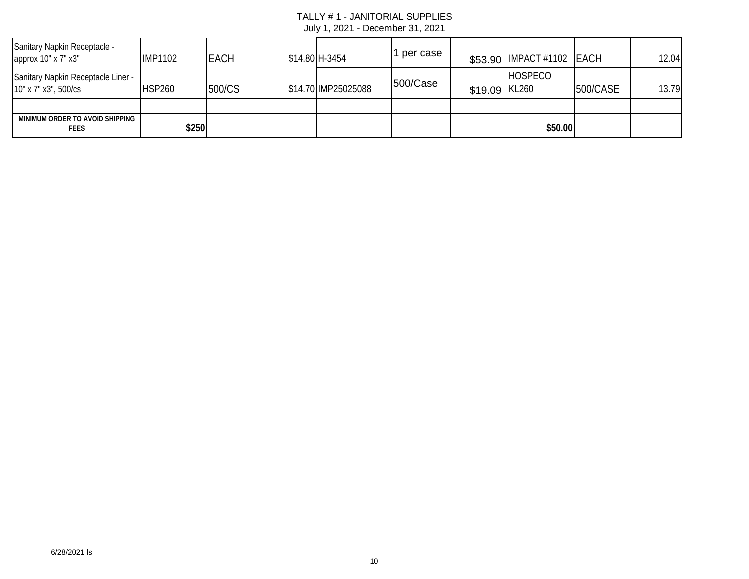| Sanitary Napkin Receptacle -<br>approx 10" x 7" x3"        | <b>IMP1102</b> | <b>EACH</b> | \$14.80 H-3454      | per case |               | \$53.90 IMPACT #1102 EACH |          | 12.04 |
|------------------------------------------------------------|----------------|-------------|---------------------|----------|---------------|---------------------------|----------|-------|
| Sanitary Napkin Receptacle Liner -<br>10" x 7" x3", 500/cs | <b>HSP260</b>  | 500/CS      | \$14.70 IMP25025088 | 500/Case | \$19.09 KL260 | HOSPECO                   | 500/CASE | 13.79 |
|                                                            |                |             |                     |          |               |                           |          |       |
| MINIMUM ORDER TO AVOID SHIPPING<br><b>FEES</b>             | \$250          |             |                     |          |               | \$50.00                   |          |       |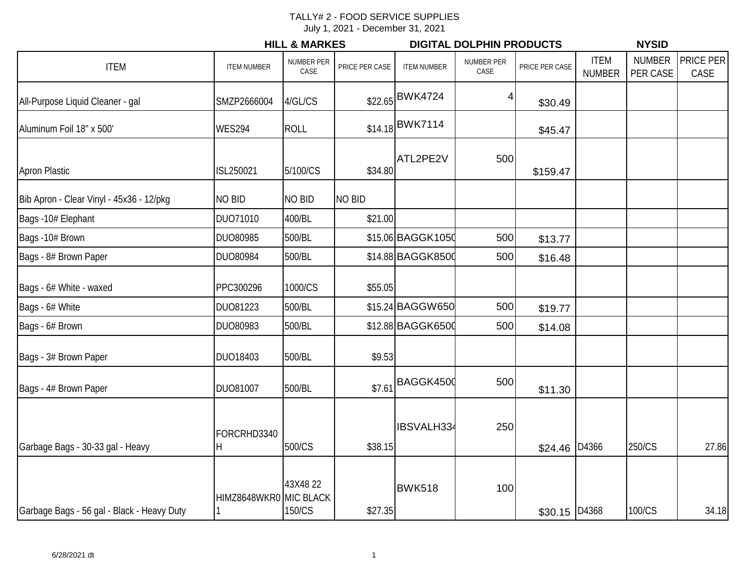# TALLY# 2 - FOOD SERVICE SUPPLIES

July 1, 2021 - December 31, 2021

|                                            |                        | <b>HILL &amp; MARKES</b>  |                |                    | <b>DIGITAL DOLPHIN PRODUCTS</b> |                |                              | <b>NYSID</b>              |                   |  |  |
|--------------------------------------------|------------------------|---------------------------|----------------|--------------------|---------------------------------|----------------|------------------------------|---------------------------|-------------------|--|--|
| <b>ITEM</b>                                | <b>ITEM NUMBER</b>     | <b>NUMBER PER</b><br>CASE | PRICE PER CASE | <b>ITEM NUMBER</b> | NUMBER PER<br>CASE              | PRICE PER CASE | <b>ITEM</b><br><b>NUMBER</b> | <b>NUMBER</b><br>PER CASE | PRICE PER<br>CASE |  |  |
| All-Purpose Liquid Cleaner - gal           | SMZP2666004            | 4/GL/CS                   |                | \$22.65 BWK4724    |                                 | \$30.49        |                              |                           |                   |  |  |
| Aluminum Foil 18" x 500'                   | <b>WES294</b>          | <b>ROLL</b>               |                | \$14.18 BWK7114    |                                 | \$45.47        |                              |                           |                   |  |  |
| <b>Apron Plastic</b>                       | ISL250021              | 5/100/CS                  | \$34.80        | ATL2PE2V           | 500                             | \$159.47       |                              |                           |                   |  |  |
| Bib Apron - Clear Vinyl - 45x36 - 12/pkg   | <b>NO BID</b>          | <b>NO BID</b>             | <b>NO BID</b>  |                    |                                 |                |                              |                           |                   |  |  |
| Bags -10# Elephant                         | DUO71010               | 400/BL                    | \$21.00        |                    |                                 |                |                              |                           |                   |  |  |
| Bags -10# Brown                            | DUO80985               | 500/BL                    |                | \$15.06 BAGGK1050  | 500                             | \$13.77        |                              |                           |                   |  |  |
| Bags - 8# Brown Paper                      | DUO80984               | 500/BL                    |                | \$14.88 BAGGK8500  | 500                             | \$16.48        |                              |                           |                   |  |  |
| Bags - 6# White - waxed                    | PPC300296              | 1000/CS                   | \$55.05        |                    |                                 |                |                              |                           |                   |  |  |
| Bags - 6# White                            | DUO81223               | 500/BL                    |                | \$15.24 BAGGW650   | 500                             | \$19.77        |                              |                           |                   |  |  |
| Bags - 6# Brown                            | DUO80983               | 500/BL                    |                | \$12.88 BAGGK6500  | 500                             | \$14.08        |                              |                           |                   |  |  |
| Bags - 3# Brown Paper                      | DUO18403               | 500/BL                    | \$9.53         |                    |                                 |                |                              |                           |                   |  |  |
| Bags - 4# Brown Paper                      | DUO81007               | 500/BL                    | \$7.61         | BAGGK4500          | 500                             | \$11.30        |                              |                           |                   |  |  |
|                                            | FORCRHD3340            |                           |                | IBSVALH334         | 250                             |                |                              |                           |                   |  |  |
| Garbage Bags - 30-33 gal - Heavy           | H                      | 500/CS                    | \$38.15        |                    |                                 | \$24.46        | D4366                        | 250/CS                    | 27.86             |  |  |
|                                            | HIMZ8648WKR0 MIC BLACK | 43X4822                   |                | <b>BWK518</b>      | 100                             |                |                              |                           |                   |  |  |
| Garbage Bags - 56 gal - Black - Heavy Duty |                        | 150/CS                    | \$27.35        |                    |                                 | \$30.15 D4368  |                              | 100/CS                    | 34.18             |  |  |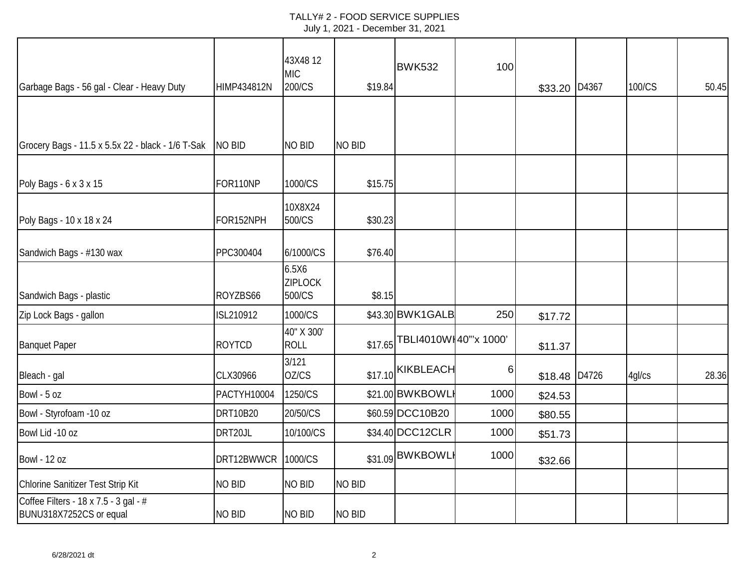|                                                                  |                    | 43X4812<br><b>MIC</b>             |               | <b>BWK532</b>         | 100  |               |       |        |       |
|------------------------------------------------------------------|--------------------|-----------------------------------|---------------|-----------------------|------|---------------|-------|--------|-------|
| Garbage Bags - 56 gal - Clear - Heavy Duty                       | <b>HIMP434812N</b> | 200/CS                            | \$19.84       |                       |      | \$33.20 D4367 |       | 100/CS | 50.45 |
|                                                                  |                    |                                   |               |                       |      |               |       |        |       |
| Grocery Bags - 11.5 x 5.5x 22 - black - 1/6 T-Sak                | <b>NO BID</b>      | <b>NO BID</b>                     | <b>NO BID</b> |                       |      |               |       |        |       |
| Poly Bags - 6 x 3 x 15                                           | FOR110NP           | 1000/CS                           | \$15.75       |                       |      |               |       |        |       |
| Poly Bags - 10 x 18 x 24                                         | FOR152NPH          | 10X8X24<br>500/CS                 | \$30.23       |                       |      |               |       |        |       |
| Sandwich Bags - #130 wax                                         | PPC300404          | 6/1000/CS                         | \$76.40       |                       |      |               |       |        |       |
| Sandwich Bags - plastic                                          | ROYZBS66           | 6.5X6<br><b>ZIPLOCK</b><br>500/CS | \$8.15        |                       |      |               |       |        |       |
| Zip Lock Bags - gallon                                           | ISL210912          | 1000/CS                           |               | \$43.30 BWK1GALB      | 250  | \$17.72       |       |        |       |
| <b>Banquet Paper</b>                                             | <b>ROYTCD</b>      | 40" X 300"<br><b>ROLL</b>         | \$17.65       | TBLI4010WI40"'x 1000' |      | \$11.37       |       |        |       |
| Bleach - gal                                                     | CLX30966           | 3/121<br>OZ/CS                    |               | $$17.10$ KIKBLEACH    | 6    | \$18.48       | D4726 | 4gl/cs | 28.36 |
| Bowl - 5 oz                                                      | PACTYH10004        | 1250/CS                           |               | \$21.00 BWKBOWL       | 1000 | \$24.53       |       |        |       |
| Bowl - Styrofoam -10 oz                                          | <b>DRT10B20</b>    | 20/50/CS                          |               | \$60.59 DCC10B20      | 1000 | \$80.55       |       |        |       |
| Bowl Lid -10 oz                                                  | DRT20JL            | 10/100/CS                         |               | \$34.40 DCC12CLR      | 1000 | \$51.73       |       |        |       |
| <b>Bowl - 12 oz</b>                                              | DRT12BWWCR         | 1000/CS                           |               | \$31.09 BWKBOWL       | 1000 | \$32.66       |       |        |       |
| Chlorine Sanitizer Test Strip Kit                                | NO BID             | NO BID                            | <b>NO BID</b> |                       |      |               |       |        |       |
| Coffee Filters - 18 x 7.5 - 3 gal - #<br>BUNU318X7252CS or equal | <b>NO BID</b>      | <b>NO BID</b>                     | <b>NO BID</b> |                       |      |               |       |        |       |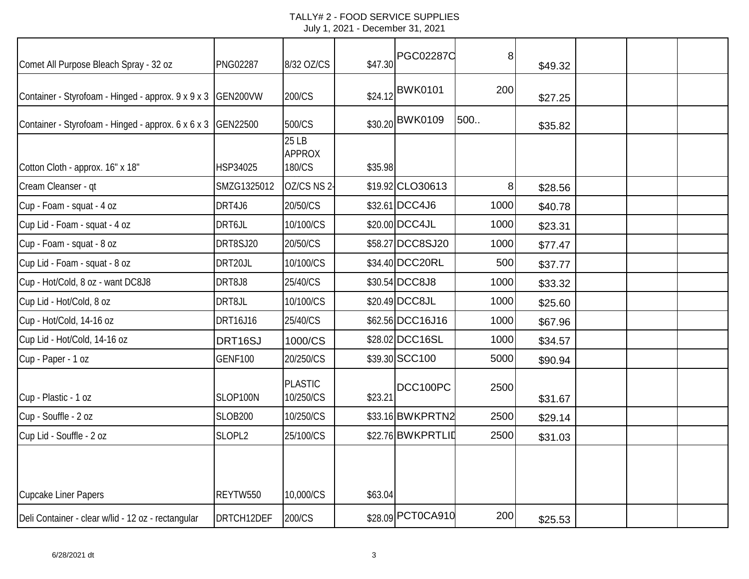| Comet All Purpose Bleach Spray - 32 oz             | <b>PNG02287</b> | 8/32 OZ/CS                       | \$47.30 | <b>PGC02287C</b>  | 8    | \$49.32 |  |  |
|----------------------------------------------------|-----------------|----------------------------------|---------|-------------------|------|---------|--|--|
| Container - Styrofoam - Hinged - approx. 9 x 9 x 3 | GEN200VW        | 200/CS                           |         | \$24.12 BWK0101   | 200  | \$27.25 |  |  |
| Container - Styrofoam - Hinged - approx. 6 x 6 x 3 | GEN22500        | 500/CS                           |         | \$30.20 BWK0109   | 500  | \$35.82 |  |  |
| Cotton Cloth - approx. 16" x 18"                   | HSP34025        | 25 LB<br><b>APPROX</b><br>180/CS | \$35.98 |                   |      |         |  |  |
| Cream Cleanser - qt                                | SMZG1325012     | OZ/CS NS 2-                      |         | \$19.92 CLO30613  | 8    | \$28.56 |  |  |
| Cup - Foam - squat - 4 oz                          | DRT4J6          | 20/50/CS                         |         | \$32.61 DCC4J6    | 1000 | \$40.78 |  |  |
| Cup Lid - Foam - squat - 4 oz                      | DRT6JL          | 10/100/CS                        |         | \$20.00 DCC4JL    | 1000 | \$23.31 |  |  |
| Cup - Foam - squat - 8 oz                          | DRT8SJ20        | 20/50/CS                         |         | \$58.27 DCC8SJ20  | 1000 | \$77.47 |  |  |
| Cup Lid - Foam - squat - 8 oz                      | DRT20JL         | 10/100/CS                        |         | \$34.40 DCC20RL   | 500  | \$37.77 |  |  |
| Cup - Hot/Cold, 8 oz - want DC8J8                  | DRT8J8          | 25/40/CS                         |         | \$30.54 DCC8J8    | 1000 | \$33.32 |  |  |
| Cup Lid - Hot/Cold, 8 oz                           | DRT8JL          | 10/100/CS                        |         | \$20.49 DCC8JL    | 1000 | \$25.60 |  |  |
| Cup - Hot/Cold, 14-16 oz                           | DRT16J16        | 25/40/CS                         |         | \$62.56 DCC16J16  | 1000 | \$67.96 |  |  |
| Cup Lid - Hot/Cold, 14-16 oz                       | DRT16SJ         | 1000/CS                          |         | \$28.02 DCC16SL   | 1000 | \$34.57 |  |  |
| Cup - Paper - 1 oz                                 | <b>GENF100</b>  | 20/250/CS                        |         | \$39.30 SCC100    | 5000 | \$90.94 |  |  |
| Cup - Plastic - 1 oz                               | SLOP100N        | <b>PLASTIC</b><br>10/250/CS      | \$23.21 | DCC100PC          | 2500 | \$31.67 |  |  |
| Cup - Souffle - 2 oz                               | <b>SLOB200</b>  | 10/250/CS                        |         | \$33.16 BWKPRTN2  | 2500 | \$29.14 |  |  |
| Cup Lid - Souffle - 2 oz                           | SLOPL2          | 25/100/CS                        |         | \$22.76 BWKPRTLID | 2500 | \$31.03 |  |  |
|                                                    |                 |                                  |         |                   |      |         |  |  |
| Cupcake Liner Papers                               | REYTW550        | 10,000/CS                        | \$63.04 |                   |      |         |  |  |
| Deli Container - clear w/lid - 12 oz - rectangular | DRTCH12DEF      | 200/CS                           |         | \$28.09 PCT0CA910 | 200  | \$25.53 |  |  |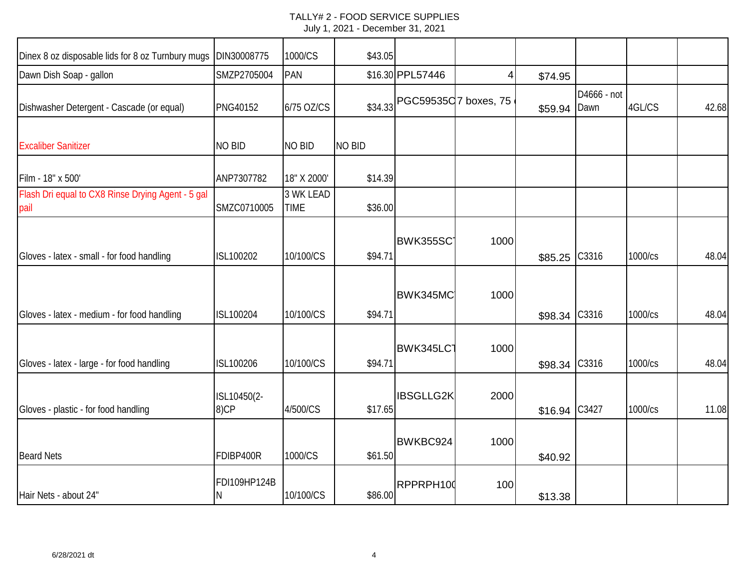| Dinex 8 oz disposable lids for 8 oz Turnbury mugs         | DIN30008775         | 1000/CS                  | \$43.05       |                       |      |         |                     |         |       |
|-----------------------------------------------------------|---------------------|--------------------------|---------------|-----------------------|------|---------|---------------------|---------|-------|
| Dawn Dish Soap - gallon                                   | SMZP2705004         | <b>PAN</b>               |               | \$16.30 PPL57446      | 4    | \$74.95 |                     |         |       |
| Dishwasher Detergent - Cascade (or equal)                 | <b>PNG40152</b>     | 6/75 OZ/CS               | \$34.33       | PGC59535C 7 boxes, 75 |      | \$59.94 | D4666 - not<br>Dawn | 4GL/CS  | 42.68 |
| <b>Excaliber Sanitizer</b>                                | <b>NO BID</b>       | <b>NO BID</b>            | <b>NO BID</b> |                       |      |         |                     |         |       |
| Film - 18" x 500'                                         | ANP7307782          | 18" X 2000'              | \$14.39       |                       |      |         |                     |         |       |
| Flash Dri equal to CX8 Rinse Drying Agent - 5 gal<br>pail | SMZC0710005         | 3 WK LEAD<br><b>TIME</b> | \$36.00       |                       |      |         |                     |         |       |
| Gloves - latex - small - for food handling                | ISL100202           | 10/100/CS                | \$94.71       | <b>BWK355SC</b>       | 1000 | \$85.25 | C3316               | 1000/cs | 48.04 |
| Gloves - latex - medium - for food handling               | ISL100204           | 10/100/CS                | \$94.71       | BWK345MC              | 1000 | \$98.34 | C3316               | 1000/cs | 48.04 |
| Gloves - latex - large - for food handling                | ISL100206           | 10/100/CS                | \$94.71       | <b>BWK345LC1</b>      | 1000 | \$98.34 | C3316               | 1000/cs | 48.04 |
| Gloves - plastic - for food handling                      | ISL10450(2-<br>8)CP | 4/500/CS                 | \$17.65       | <b>IBSGLLG2K</b>      | 2000 | \$16.94 | C3427               | 1000/cs | 11.08 |
| <b>Beard Nets</b>                                         | FDIBP400R           | 1000/CS                  | \$61.50       | BWKBC924              | 1000 | \$40.92 |                     |         |       |
| Hair Nets - about 24"                                     | FDI109HP124B<br>N   | 10/100/CS                | \$86.00       | RPPRPH100             | 100  | \$13.38 |                     |         |       |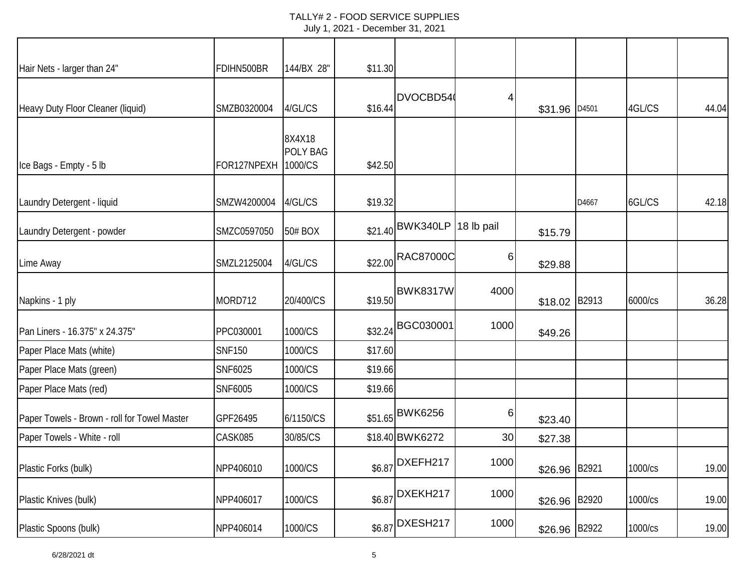| Hair Nets - larger than 24"                  | FDIHN500BR    | 144/BX 28"                    | \$11.30 |                             |          |               |       |         |       |
|----------------------------------------------|---------------|-------------------------------|---------|-----------------------------|----------|---------------|-------|---------|-------|
| Heavy Duty Floor Cleaner (liquid)            | SMZB0320004   | 4/GL/CS                       | \$16.44 | DVOCBD54                    | 4        | \$31.96       | D4501 | 4GL/CS  | 44.04 |
| Ice Bags - Empty - 5 lb                      | FOR127NPEXH   | 8X4X18<br>POLY BAG<br>1000/CS | \$42.50 |                             |          |               |       |         |       |
| Laundry Detergent - liquid                   | SMZW4200004   | 4/GL/CS                       | \$19.32 |                             |          |               | D4667 | 6GL/CS  | 42.18 |
| Laundry Detergent - powder                   | SMZC0597050   | 50# BOX                       |         | \$21.40 BWK340LP 18 lb pail |          | \$15.79       |       |         |       |
| Lime Away                                    | SMZL2125004   | 4/GL/CS                       | \$22.00 | <b>RAC87000C</b>            | $6 \mid$ | \$29.88       |       |         |       |
| Napkins - 1 ply                              | MORD712       | 20/400/CS                     | \$19.50 | <b>BWK8317W</b>             | 4000     | \$18.02       | B2913 | 6000/cs | 36.28 |
| Pan Liners - 16.375" x 24.375"               | PPC030001     | 1000/CS                       | \$32.24 | <b>BGC030001</b>            | 1000     | \$49.26       |       |         |       |
| Paper Place Mats (white)                     | <b>SNF150</b> | 1000/CS                       | \$17.60 |                             |          |               |       |         |       |
| Paper Place Mats (green)                     | SNF6025       | 1000/CS                       | \$19.66 |                             |          |               |       |         |       |
| Paper Place Mats (red)                       | SNF6005       | 1000/CS                       | \$19.66 |                             |          |               |       |         |       |
| Paper Towels - Brown - roll for Towel Master | GPF26495      | 6/1150/CS                     |         | \$51.65 BWK6256             | 6        | \$23.40       |       |         |       |
| Paper Towels - White - roll                  | CASK085       | 30/85/CS                      |         | \$18.40 BWK6272             | 30       | \$27.38       |       |         |       |
| Plastic Forks (bulk)                         | NPP406010     | 1000/CS                       |         | \$6.87 DXEFH217             | 1000     | \$26.96       | B2921 | 1000/cs | 19.00 |
| Plastic Knives (bulk)                        | NPP406017     | 1000/CS                       |         | \$6.87 DXEKH217             | 1000     | \$26.96 B2920 |       | 1000/cs | 19.00 |
| Plastic Spoons (bulk)                        | NPP406014     | 1000/CS                       |         | $$6.87$ DXESH217            | 1000     | \$26.96 B2922 |       | 1000/cs | 19.00 |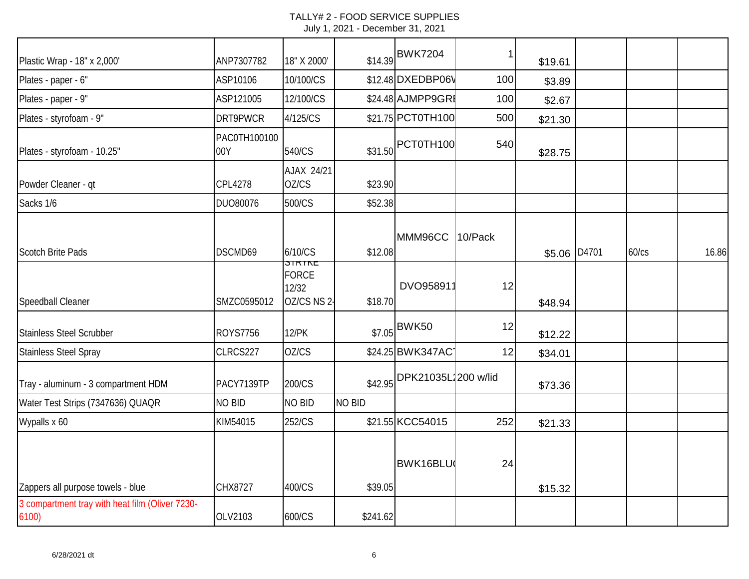| Plastic Wrap - 18" x 2,000'                             | ANP7307782          | 18" X 2000'                                    |               | \$14.39 BWK7204     |         | \$19.61 |       |       |       |
|---------------------------------------------------------|---------------------|------------------------------------------------|---------------|---------------------|---------|---------|-------|-------|-------|
| Plates - paper - 6"                                     | ASP10106            | 10/100/CS                                      |               | \$12.48 DXEDBP06V   | 100     | \$3.89  |       |       |       |
| Plates - paper - 9"                                     | ASP121005           | 12/100/CS                                      |               | \$24.48 AJMPP9GRI   | 100     | \$2.67  |       |       |       |
| Plates - styrofoam - 9"                                 | DRT9PWCR            | 4/125/CS                                       |               | \$21.75 PCT0TH100   | 500     | \$21.30 |       |       |       |
| Plates - styrofoam - 10.25"                             | PAC0TH100100<br>00Y | 540/CS                                         | \$31.50       | PCT0TH100           | 540     | \$28.75 |       |       |       |
| Powder Cleaner - qt                                     | <b>CPL4278</b>      | AJAX 24/21<br>OZ/CS                            | \$23.90       |                     |         |         |       |       |       |
| Sacks 1/6                                               | DUO80076            | 500/CS                                         | \$52.38       |                     |         |         |       |       |       |
| <b>Scotch Brite Pads</b>                                | DSCMD69             | 6/10/CS                                        | \$12.08       | MMM96CC             | 10/Pack | \$5.06  | D4701 | 60/cs | 16.86 |
| Speedball Cleaner                                       | SMZC0595012         | JININL<br><b>FORCE</b><br>12/32<br>OZ/CS NS 2- | \$18.70       | DVO958911           | 12      | \$48.94 |       |       |       |
| <b>Stainless Steel Scrubber</b>                         | <b>ROYS7756</b>     | <b>12/PK</b>                                   | \$7.05        | <b>BWK50</b>        | 12      | \$12.22 |       |       |       |
| <b>Stainless Steel Spray</b>                            | CLRCS227            | OZ/CS                                          |               | \$24.25 BWK347AC    | 12      | \$34.01 |       |       |       |
| Tray - aluminum - 3 compartment HDM                     | PACY7139TP          | 200/CS                                         | \$42.95       | DPK21035L1200 w/lid |         | \$73.36 |       |       |       |
| Water Test Strips (7347636) QUAQR                       | <b>NO BID</b>       | <b>NO BID</b>                                  | <b>NO BID</b> |                     |         |         |       |       |       |
| Wypalls x 60                                            | KIM54015            | 252/CS                                         |               | \$21.55 KCC54015    | 252     | \$21.33 |       |       |       |
| Zappers all purpose towels - blue                       | CHX8727             | 400/CS                                         | \$39.05       | BWK16BLU            | 24      | \$15.32 |       |       |       |
| 3 compartment tray with heat film (Oliver 7230-<br>6100 | OLV2103             | 600/CS                                         | \$241.62      |                     |         |         |       |       |       |